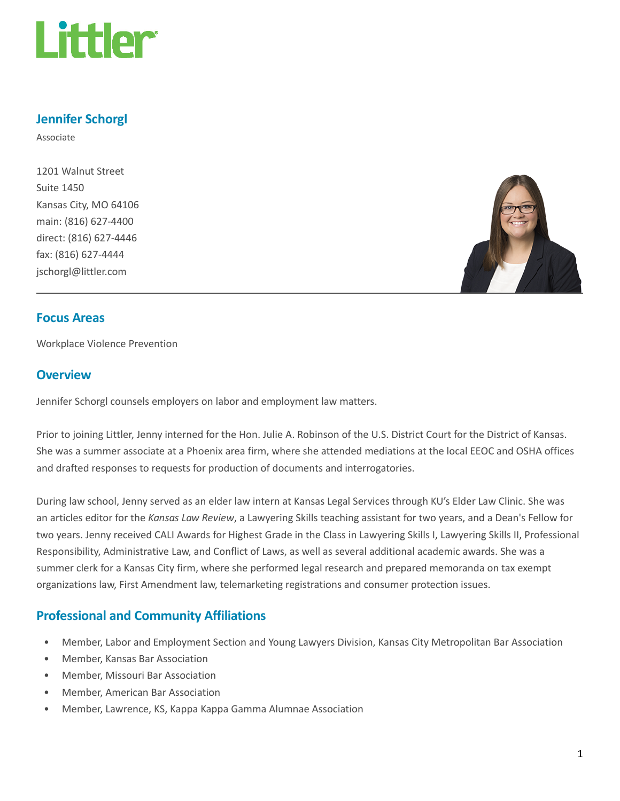

# Jennifer Schorgl

Associate

1201 Walnut Street Suite 1450 Kansas City, MO 64106 main: (816) 627-4400 direct: (816) 627-4446 fax: (816) 627-4444 jschorgl@littler.com



## Focus Areas

Workplace Violence Prevention

# **Overview**

Jennifer Schorgl counsels employers on labor and employment law matters.

Prior to joining Littler, Jenny interned for the Hon. Julie A. Robinson of the U.S. District Court for the District of Kansas. She was a summer associate at a Phoenix area firm, where she attended mediations at the local EEOC and OSHA offices and drafted responses to requests for production of documents and interrogatories.

During law school, Jenny served as an elder law intern at Kansas Legal Services through KU's Elder Law Clinic. She was an articles editor for the Kansas Law Review, a Lawyering Skills teaching assistant for two years, and a Dean's Fellow for two years. Jenny received CALI Awards for Highest Grade in the Class in Lawyering Skills I, Lawyering Skills II, Professional Responsibility, Administrative Law, and Conflict of Laws, as well as several additional academic awards. She was a summer clerk for a Kansas City firm, where she performed legal research and prepared memoranda on tax exempt organizations law, First Amendment law, telemarketing registrations and consumer protection issues.

# Professional and Community Affiliations

- Member, Labor and Employment Section and Young Lawyers Division, Kansas City Metropolitan Bar Association
- Member, Kansas Bar Association
- Member, Missouri Bar Association
- Member, American Bar Association
- Member, Lawrence, KS, Kappa Kappa Gamma Alumnae Association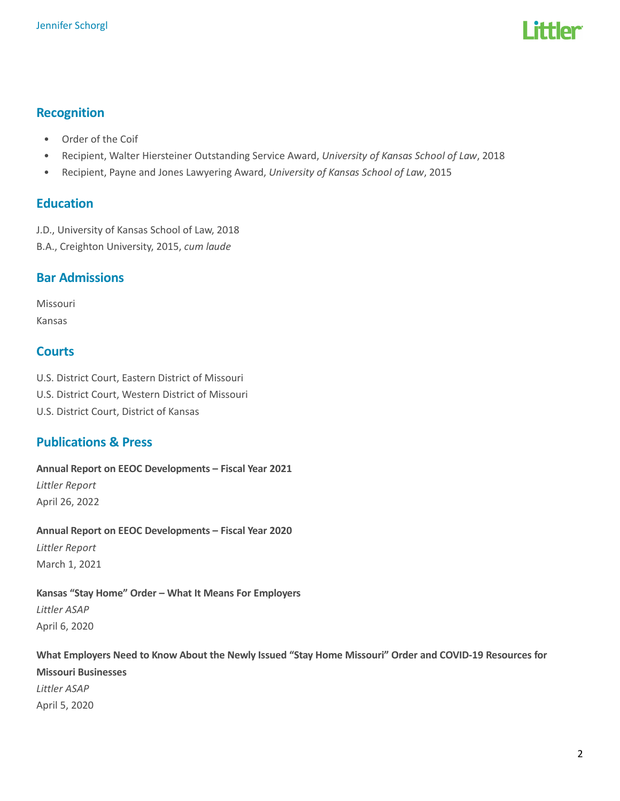# l ittlar

# Recognition

- Order of the Coif
- Recipient, Walter Hiersteiner Outstanding Service Award, University of Kansas School of Law, 2018
- Recipient, Payne and Jones Lawyering Award, University of Kansas School of Law, 2015

## Education

J.D., University of Kansas School of Law, 2018

B.A., Creighton University, 2015, cum laude

# Bar Admissions

Missouri Kansas

# **Courts**

- U.S. District Court, Eastern District of Missouri
- U.S. District Court, Western District of Missouri
- U.S. District Court, District of Kansas

# Publications & Press

## Annual Report on EEOC Developments – Fiscal Year 2021

Littler Report April 26, 2022

# Annual Report on EEOC Developments – Fiscal Year 2020

Littler Report March 1, 2021

#### Kansas "Stay Home" Order – What It Means For Employers Littler ASAP

April 6, 2020

#### What Employers Need to Know About the Newly Issued "Stay Home Missouri" Order and COVID-19 Resources for

Missouri Businesses Littler ASAP April 5, 2020